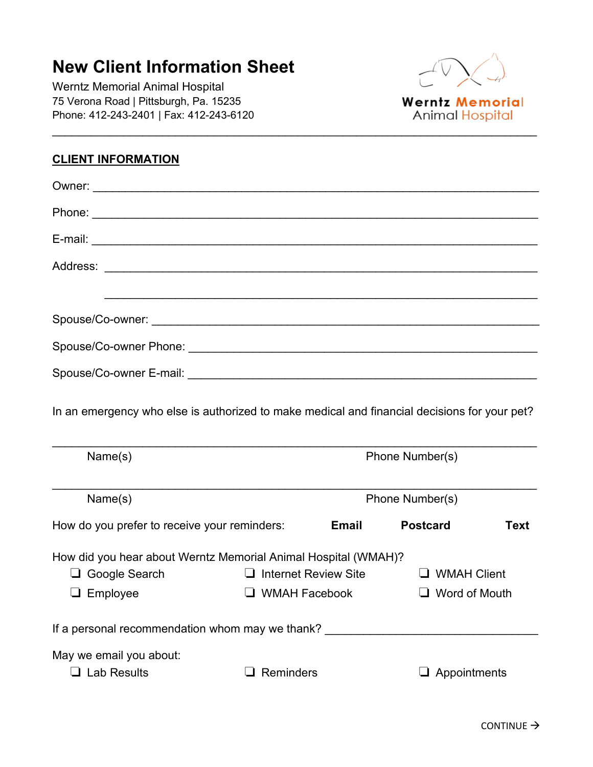## **New Client Information Sheet**

Werntz Memorial Animal Hospital 75 Verona Road | Pittsburgh, Pa. 15235 Phone: 412-243-2401 | Fax: 412-243-6120



**Werntz Memorial Animal Hospital** 

## **CLIENT INFORMATION**

| In an emergency who else is authorized to make medical and financial decisions for your pet? |                             |                 |                      |             |
|----------------------------------------------------------------------------------------------|-----------------------------|-----------------|----------------------|-------------|
| Name(s)                                                                                      |                             |                 | Phone Number(s)      |             |
| Name(s)                                                                                      |                             | Phone Number(s) |                      |             |
| How do you prefer to receive your reminders:                                                 |                             | <b>Email</b>    | <b>Postcard</b>      | <b>Text</b> |
| How did you hear about Werntz Memorial Animal Hospital (WMAH)?                               |                             |                 |                      |             |
| □ Google Search                                                                              | $\Box$ Internet Review Site |                 | $\Box$ WMAH Client   |             |
| $\Box$ Employee                                                                              | $\Box$ WMAH Facebook        |                 | $\Box$ Word of Mouth |             |
| If a personal recommendation whom may we thank?                                              |                             |                 |                      |             |
| May we email you about:                                                                      |                             |                 |                      |             |
| $\Box$ Lab Results                                                                           | $\Box$ Reminders            |                 | $\Box$ Appointments  |             |

\_\_\_\_\_\_\_\_\_\_\_\_\_\_\_\_\_\_\_\_\_\_\_\_\_\_\_\_\_\_\_\_\_\_\_\_\_\_\_\_\_\_\_\_\_\_\_\_\_\_\_\_\_\_\_\_\_\_\_\_\_\_\_\_\_\_\_\_\_\_\_\_\_\_\_